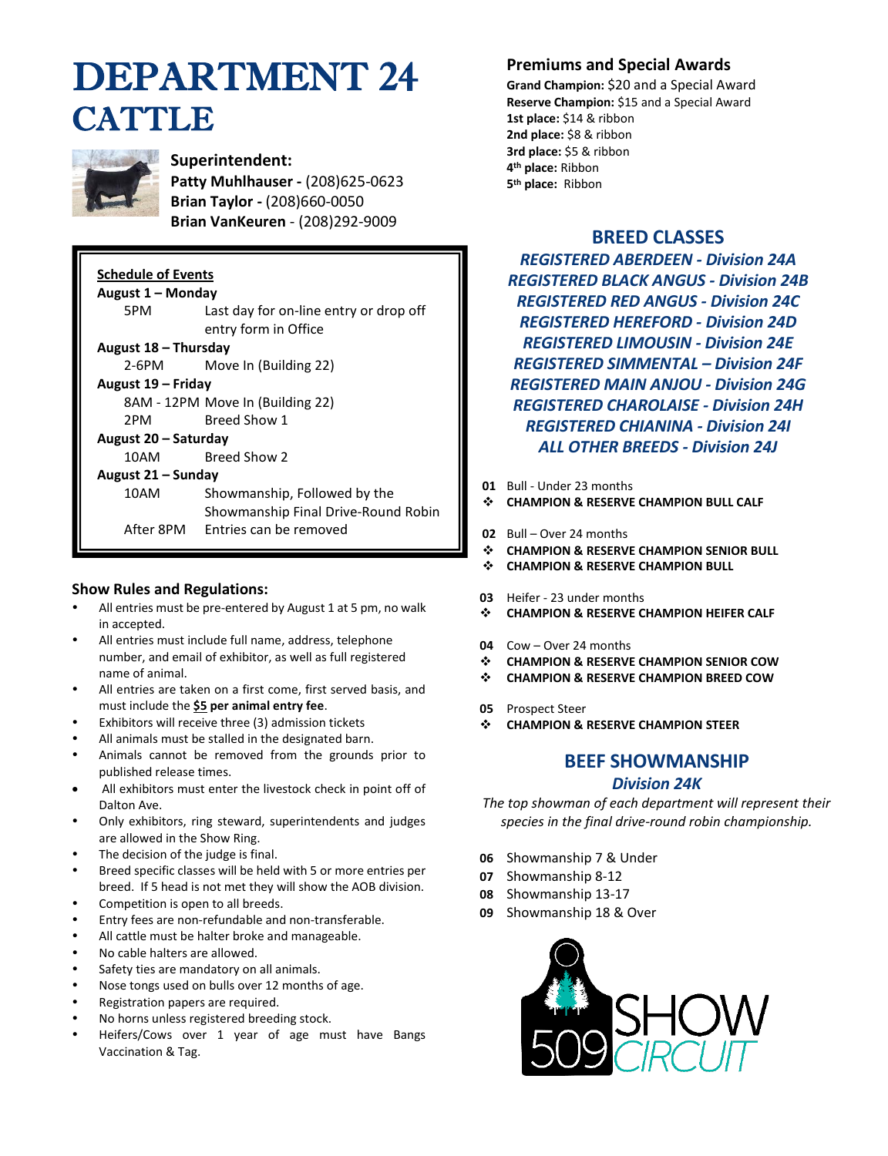# DEPARTMENT 24 **CATTLE**



## **Superintendent:**

**Patty Muhlhauser -** (208)625-0623 **Brian Taylor -** (208)660-0050 **Brian VanKeuren** - (208)292-9009

## **Schedule of Events**

| August 1 – Monday |                                        |  |  |  |  |  |  |  |  |
|-------------------|----------------------------------------|--|--|--|--|--|--|--|--|
| 5PM               | Last day for on-line entry or drop off |  |  |  |  |  |  |  |  |
|                   | entry form in Office                   |  |  |  |  |  |  |  |  |

#### **August 18 – Thursday**

2-6PM Move In (Building 22)

#### **August 19 – Friday**

8AM - 12PM Move In (Building 22)

2PM Breed Show 1

#### **August 20 – Saturday**

10AM Breed Show 2

#### **August 21 – Sunday**

10AM Showmanship, Followed by the Showmanship Final Drive-Round Robin After 8PM Entries can be removed

## **Show Rules and Regulations:**

- All entries must be pre-entered by August 1 at 5 pm, no walk in accepted.
- All entries must include full name, address, telephone number, and email of exhibitor, as well as full registered name of animal.
- All entries are taken on a first come, first served basis, and must include the **\$5 per animal entry fee**.
- Exhibitors will receive three (3) admission tickets
- All animals must be stalled in the designated barn.
- Animals cannot be removed from the grounds prior to published release times.
- All exhibitors must enter the livestock check in point off of Dalton Ave.
- Only exhibitors, ring steward, superintendents and judges are allowed in the Show Ring.
- The decision of the judge is final.
- Breed specific classes will be held with 5 or more entries per breed. If 5 head is not met they will show the AOB division.
- Competition is open to all breeds.
- Entry fees are non-refundable and non-transferable.
- All cattle must be halter broke and manageable.
- No cable halters are allowed.
- Safety ties are mandatory on all animals.
- Nose tongs used on bulls over 12 months of age.
- Registration papers are required.
- No horns unless registered breeding stock.
- Heifers/Cows over 1 year of age must have Bangs Vaccination & Tag.

# **Premiums and Special Awards**

**Grand Champion:** \$20 and a Special Award **Reserve Champion:** \$15 and a Special Award **1st place:** \$14 & ribbon **2nd place:** \$8 & ribbon **3rd place:** \$5 & ribbon **4 th place:** Ribbon **5 th place:** Ribbon

## **BREED CLASSES**

*REGISTERED ABERDEEN - Division 24A REGISTERED BLACK ANGUS - Division 24B REGISTERED RED ANGUS - Division 24C REGISTERED HEREFORD - Division 24D REGISTERED LIMOUSIN - Division 24E REGISTERED SIMMENTAL – Division 24F REGISTERED MAIN ANJOU - Division 24G REGISTERED CHAROLAISE - Division 24H REGISTERED CHIANINA - Division 24I ALL OTHER BREEDS - Division 24J*

- **01** Bull Under 23 months
- ❖ **CHAMPION & RESERVE CHAMPION BULL CALF**
- **02** Bull Over 24 months
- ❖ **CHAMPION & RESERVE CHAMPION SENIOR BULL**
- ❖ **CHAMPION & RESERVE CHAMPION BULL**
- **03** Heifer 23 under months
- ❖ **CHAMPION & RESERVE CHAMPION HEIFER CALF**
- **04** Cow Over 24 months
- ❖ **CHAMPION & RESERVE CHAMPION SENIOR COW**
- ❖ **CHAMPION & RESERVE CHAMPION BREED COW**
- **05** Prospect Steer
- ❖ **CHAMPION & RESERVE CHAMPION STEER**

# **BEEF SHOWMANSHIP**

### *Division 24K*

*The top showman of each department will represent their species in the final drive-round robin championship.*

- **06** Showmanship 7 & Under
- **07** Showmanship 8-12
- **08** Showmanship 13-17
- **09** Showmanship 18 & Over